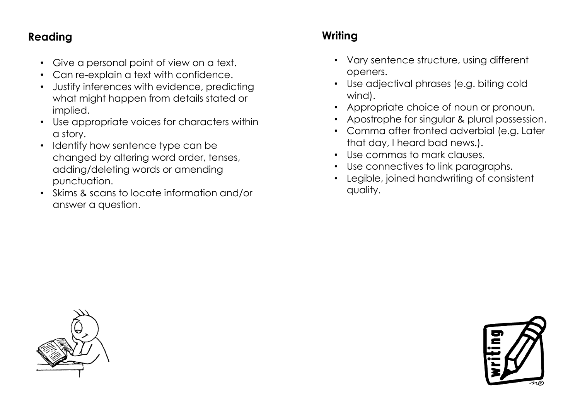## **Reading**

- Give a personal point of view on a text.
- Can re-explain a text with confidence.
- Justify inferences with evidence, predicting what might happen from details stated or implied.
- Use appropriate voices for characters within a story.
- Identify how sentence type can be changed by altering word order, tenses, adding/deleting words or amending punctuation.
- Skims & scans to locate information and/or answer a question.

# **Writing**

- Vary sentence structure, using different openers.
- Use adjectival phrases (e.g. biting cold wind).
- Appropriate choice of noun or pronoun.
- Apostrophe for singular & plural possession.
- Comma after fronted adverbial (e.g. Later that day, I heard bad news.).
- Use commas to mark clauses.
- Use connectives to link paragraphs.
- Legible, joined handwriting of consistent quality.